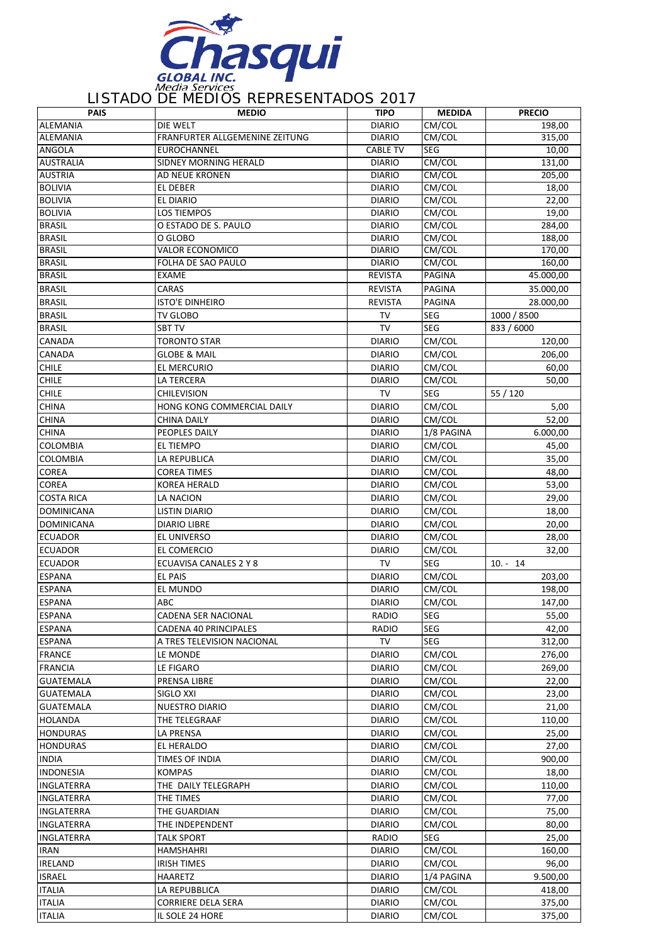

## LISTADO DE MEDIOS REPRESENTADOS 2017

| <b>PAIS</b>       | <b>MEDIO</b>                   | <b>TIPO</b>     | <b>MEDIDA</b> | <b>PRECIO</b> |
|-------------------|--------------------------------|-----------------|---------------|---------------|
| <b>ALEMANIA</b>   | DIE WELT                       | <b>DIARIO</b>   | CM/COL        | 198,00        |
| <b>ALEMANIA</b>   | FRANFURTER ALLGEMENINE ZEITUNG | <b>DIARIO</b>   | CM/COL        | 315,00        |
| <b>ANGOLA</b>     | <b>EUROCHANNEL</b>             | <b>CABLE TV</b> | <b>SEG</b>    | 10,00         |
| <b>AUSTRALIA</b>  | SIDNEY MORNING HERALD          | <b>DIARIO</b>   | CM/COL        | 131,00        |
| <b>AUSTRIA</b>    | <b>AD NEUE KRONEN</b>          | <b>DIARIO</b>   | CM/COL        | 205,00        |
| <b>BOLIVIA</b>    | EL DEBER                       | <b>DIARIO</b>   | CM/COL        | 18,00         |
| <b>BOLIVIA</b>    | EL DIARIO                      | <b>DIARIO</b>   | CM/COL        | 22,00         |
| <b>BOLIVIA</b>    | <b>LOS TIEMPOS</b>             | <b>DIARIO</b>   | CM/COL        | 19,00         |
| <b>BRASIL</b>     | O ESTADO DE S. PAULO           | <b>DIARIO</b>   | CM/COL        | 284,00        |
| <b>BRASIL</b>     | O GLOBO                        | <b>DIARIO</b>   | CM/COL        | 188,00        |
| <b>BRASIL</b>     | <b>VALOR ECONOMICO</b>         | <b>DIARIO</b>   | CM/COL        | 170,00        |
| <b>BRASIL</b>     | FOLHA DE SAO PAULO             | <b>DIARIO</b>   | CM/COL        | 160,00        |
| <b>BRASIL</b>     | EXAME                          | <b>REVISTA</b>  | PAGINA        | 45.000,00     |
| <b>BRASIL</b>     | CARAS                          | <b>REVISTA</b>  | PAGINA        | 35.000,00     |
| <b>BRASIL</b>     | ISTO'E DINHEIRO                | <b>REVISTA</b>  | PAGINA        | 28.000,00     |
| <b>BRASIL</b>     | TV GLOBO                       | TV              | SEG           | 1000 / 8500   |
| <b>BRASIL</b>     | <b>SBT TV</b>                  | TV              | <b>SEG</b>    | 833 / 6000    |
| <b>CANADA</b>     | TORONTO STAR                   | <b>DIARIO</b>   | CM/COL        | 120,00        |
| CANADA            | <b>GLOBE &amp; MAIL</b>        | <b>DIARIO</b>   | CM/COL        | 206,00        |
| <b>CHILE</b>      | EL MERCURIO                    | <b>DIARIO</b>   | CM/COL        | 60,00         |
| <b>CHILE</b>      | LA TERCERA                     | <b>DIARIO</b>   | CM/COL        | 50,00         |
| <b>CHILE</b>      | CHILEVISION                    | TV              | <b>SEG</b>    | 55 / 120      |
| <b>CHINA</b>      | HONG KONG COMMERCIAL DAILY     | <b>DIARIO</b>   | CM/COL        | 5,00          |
| <b>CHINA</b>      | CHINA DAILY                    | <b>DIARIO</b>   | CM/COL        | 52,00         |
| <b>CHINA</b>      | PEOPLES DAILY                  | <b>DIARIO</b>   | 1/8 PAGINA    | 6.000,00      |
| COLOMBIA          | <b>EL TIEMPO</b>               | <b>DIARIO</b>   | CM/COL        | 45,00         |
| COLOMBIA          | LA REPUBLICA                   | <b>DIARIO</b>   | CM/COL        | 35,00         |
| <b>COREA</b>      | COREA TIMES                    | <b>DIARIO</b>   | CM/COL        | 48,00         |
| <b>COREA</b>      | KOREA HERALD                   | <b>DIARIO</b>   | CM/COL        | 53,00         |
| <b>COSTA RICA</b> | LA NACION                      | <b>DIARIO</b>   | CM/COL        | 29,00         |
| <b>DOMINICANA</b> | LISTIN DIARIO                  | <b>DIARIO</b>   | CM/COL        | 18,00         |
| <b>DOMINICANA</b> | DIARIO LIBRE                   | <b>DIARIO</b>   | CM/COL        | 20,00         |
| <b>ECUADOR</b>    | EL UNIVERSO                    | <b>DIARIO</b>   | CM/COL        | 28,00         |
| <b>ECUADOR</b>    | EL COMERCIO                    | <b>DIARIO</b>   | CM/COL        | 32,00         |
| <b>ECUADOR</b>    | ECUAVISA CANALES 2 Y 8         | <b>TV</b>       | <b>SEG</b>    | $10. - 14$    |
| <b>ESPANA</b>     | <b>EL PAIS</b>                 | <b>DIARIO</b>   | CM/COL        | 203,00        |
| <b>ESPANA</b>     | EL MUNDO                       | <b>DIARIO</b>   | CM/COL        | 198,00        |
| <b>ESPANA</b>     | ABC                            | <b>DIARIO</b>   | CM/COL        | 147,00        |
| <b>ESPANA</b>     | CADENA SER NACIONAL            | RADIO           | <b>SEG</b>    | 55,00         |
| <b>ESPANA</b>     | CADENA 40 PRINCIPALES          | RADIO           | <b>SEG</b>    | 42,00         |
| <b>ESPANA</b>     | A TRES TELEVISION NACIONAL     | TV              | SEG           | 312,00        |
| <b>FRANCE</b>     | LE MONDE                       | <b>DIARIO</b>   | CM/COL        | 276,00        |
| <b>FRANCIA</b>    | LE FIGARO                      | <b>DIARIO</b>   | CM/COL        | 269,00        |
| GUATEMALA         | PRENSA LIBRE                   | <b>DIARIO</b>   | CM/COL        | 22,00         |
| <b>GUATEMALA</b>  | SIGLO XXI                      | <b>DIARIO</b>   | CM/COL        | 23,00         |
| <b>GUATEMALA</b>  | NUESTRO DIARIO                 | <b>DIARIO</b>   | CM/COL        | 21,00         |
| <b>HOLANDA</b>    | THE TELEGRAAF                  | <b>DIARIO</b>   | CM/COL        | 110,00        |
| <b>HONDURAS</b>   | LA PRENSA                      | <b>DIARIO</b>   | CM/COL        | 25,00         |
| <b>HONDURAS</b>   | EL HERALDO                     | <b>DIARIO</b>   | CM/COL        | 27,00         |
| <b>INDIA</b>      | TIMES OF INDIA                 | <b>DIARIO</b>   | CM/COL        | 900,00        |
| <b>INDONESIA</b>  | <b>KOMPAS</b>                  | <b>DIARIO</b>   | CM/COL        | 18,00         |
| INGLATERRA        | THE DAILY TELEGRAPH            | <b>DIARIO</b>   | CM/COL        | 110,00        |
| INGLATERRA        | THE TIMES                      | <b>DIARIO</b>   | CM/COL        | 77,00         |
| INGLATERRA        | THE GUARDIAN                   | <b>DIARIO</b>   | CM/COL        | 75,00         |
| INGLATERRA        | THE INDEPENDENT                | <b>DIARIO</b>   | CM/COL        | 80,00         |
| INGLATERRA        | TALK SPORT                     | RADIO           | SEG           | 25,00         |
| <b>IRAN</b>       | HAMSHAHRI                      | <b>DIARIO</b>   | CM/COL        | 160,00        |
| <b>IRELAND</b>    | IRISH TIMES                    | <b>DIARIO</b>   | CM/COL        | 96,00         |
| <b>ISRAEL</b>     | <b>HAARETZ</b>                 | <b>DIARIO</b>   | 1/4 PAGINA    | 9.500,00      |
| <b>ITALIA</b>     | LA REPUBBLICA                  | <b>DIARIO</b>   | CM/COL        | 418,00        |
| <b>ITALIA</b>     | <b>CORRIERE DELA SERA</b>      | <b>DIARIO</b>   | CM/COL        | 375,00        |
| <b>ITALIA</b>     | IL SOLE 24 HORE                | <b>DIARIO</b>   | CM/COL        | 375,00        |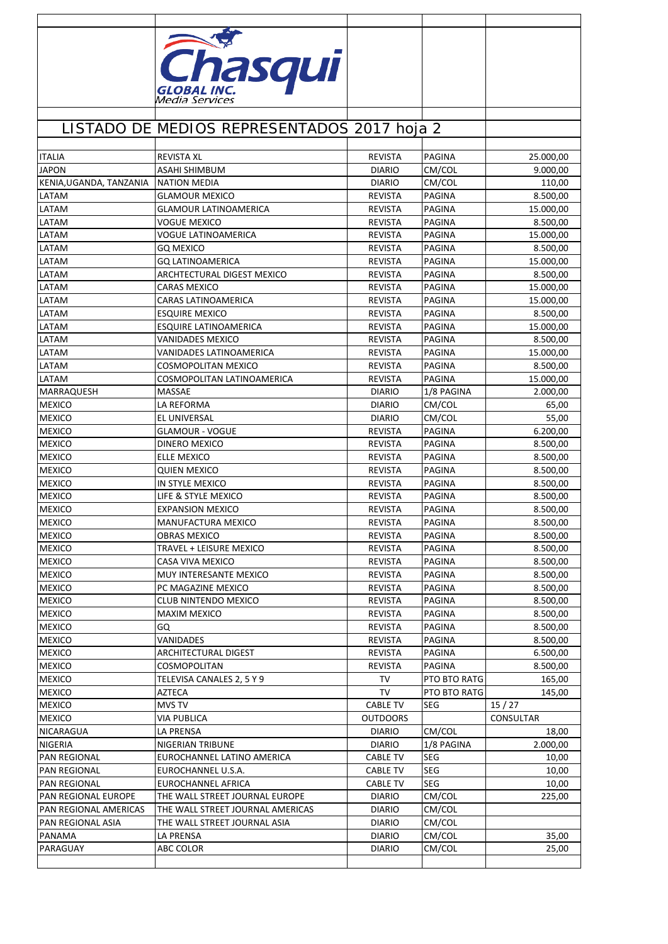|                                            | Chasqui                                                          |                                |                  |           |
|--------------------------------------------|------------------------------------------------------------------|--------------------------------|------------------|-----------|
|                                            |                                                                  |                                |                  |           |
|                                            | Media Services                                                   |                                |                  |           |
|                                            |                                                                  |                                |                  |           |
|                                            |                                                                  |                                |                  |           |
|                                            | LISTADO DE MEDIOS REPRESENTADOS 2017 hoja 2                      |                                |                  |           |
|                                            |                                                                  |                                |                  |           |
| <b>ITALIA</b>                              | <b>REVISTA XL</b>                                                | <b>REVISTA</b>                 | <b>PAGINA</b>    | 25.000,00 |
| <b>JAPON</b>                               | ASAHI SHIMBUM                                                    | <b>DIARIO</b>                  | CM/COL           | 9.000,00  |
| KENIA, UGANDA, TANZANIA                    | <b>NATION MEDIA</b>                                              | <b>DIARIO</b>                  | CM/COL           | 110,00    |
| LATAM                                      | GLAMOUR MEXICO                                                   | <b>REVISTA</b>                 | PAGINA           | 8.500,00  |
| LATAM                                      | <b>GLAMOUR LATINOAMERICA</b>                                     | <b>REVISTA</b>                 | PAGINA           | 15.000,00 |
| LATAM                                      | VOGUE MEXICO                                                     | <b>REVISTA</b>                 | PAGINA           | 8.500,00  |
| LATAM                                      | VOGUE LATINOAMERICA                                              | <b>REVISTA</b>                 | PAGINA           | 15.000,00 |
| LATAM                                      | <b>GO MEXICO</b>                                                 | REVISTA                        | PAGINA           | 8.500,00  |
| LATAM                                      | <b>GQ LATINOAMERICA</b>                                          | <b>REVISTA</b>                 | PAGINA           | 15.000,00 |
| LATAM                                      | ARCHTECTURAL DIGEST MEXICO                                       | <b>REVISTA</b>                 | <b>PAGINA</b>    | 8.500,00  |
| LATAM                                      | CARAS MEXICO                                                     | <b>REVISTA</b>                 | <b>PAGINA</b>    | 15.000,00 |
| LATAM                                      | CARAS LATINOAMERICA                                              | <b>REVISTA</b>                 | <b>PAGINA</b>    | 15.000,00 |
| LATAM                                      | <b>ESQUIRE MEXICO</b>                                            | <b>REVISTA</b>                 | <b>PAGINA</b>    | 8.500,00  |
| LATAM                                      | <b>ESQUIRE LATINOAMERICA</b>                                     | <b>REVISTA</b>                 | <b>PAGINA</b>    | 15.000,00 |
| LATAM                                      | <b>VANIDADES MEXICO</b>                                          | <b>REVISTA</b>                 | <b>PAGINA</b>    | 8.500,00  |
| LATAM                                      | VANIDADES LATINOAMERICA                                          | <b>REVISTA</b>                 | PAGINA           | 15.000,00 |
| LATAM                                      | COSMOPOLITAN MEXICO                                              | <b>REVISTA</b>                 | PAGINA           | 8.500,00  |
| LATAM                                      | COSMOPOLITAN LATINOAMERICA                                       | <b>REVISTA</b>                 | <b>PAGINA</b>    | 15.000,00 |
| MARRAQUESH                                 | <b>MASSAE</b>                                                    | <b>DIARIO</b>                  | 1/8 PAGINA       | 2.000,00  |
| <b>MEXICO</b>                              | LA REFORMA                                                       | <b>DIARIO</b>                  | CM/COL           | 65,00     |
| <b>MEXICO</b>                              | EL UNIVERSAL                                                     | <b>DIARIO</b>                  | CM/COL           | 55,00     |
| <b>MEXICO</b>                              | <b>GLAMOUR - VOGUE</b>                                           | <b>REVISTA</b>                 | PAGINA           | 6.200,00  |
| <b>MEXICO</b>                              | DINERO MEXICO                                                    | <b>REVISTA</b>                 | <b>PAGINA</b>    | 8.500,00  |
| <b>MEXICO</b>                              | <b>ELLE MEXICO</b>                                               | <b>REVISTA</b>                 | PAGINA           | 8.500,00  |
| <b>MEXICO</b>                              | QUIEN MEXICO                                                     | REVISTA                        | PAGINA           | 8.500,00  |
| <b>MEXICO</b>                              | IN STYLE MEXICO                                                  | <b>REVISTA</b>                 | <b>PAGINA</b>    | 8.500,00  |
| <b>MEXICO</b>                              | LIFE & STYLE MEXICO                                              | <b>REVISTA</b>                 | PAGINA           | 8.500,00  |
| <b>MEXICO</b>                              | <b>EXPANSION MEXICO</b>                                          | <b>REVISTA</b>                 | <b>PAGINA</b>    | 8.500,00  |
| <b>MEXICO</b>                              | MANUFACTURA MEXICO                                               | <b>REVISTA</b>                 | PAGINA           | 8.500,00  |
| <b>MEXICO</b>                              | <b>OBRAS MEXICO</b>                                              | <b>REVISTA</b>                 | PAGINA           | 8.500,00  |
| <b>MEXICO</b>                              | TRAVEL + LEISURE MEXICO                                          | <b>REVISTA</b>                 | <b>PAGINA</b>    | 8.500,00  |
| <b>MEXICO</b>                              | CASA VIVA MEXICO                                                 | REVISTA                        | PAGINA           | 8.500,00  |
| <b>MEXICO</b>                              | MUY INTERESANTE MEXICO                                           | <b>REVISTA</b>                 | <b>PAGINA</b>    | 8.500,00  |
| <b>MEXICO</b>                              | PC MAGAZINE MEXICO                                               | <b>REVISTA</b>                 | PAGINA           | 8.500,00  |
| <b>MEXICO</b>                              | <b>CLUB NINTENDO MEXICO</b>                                      | <b>REVISTA</b>                 | PAGINA           | 8.500,00  |
| <b>MEXICO</b>                              | <b>MAXIM MEXICO</b>                                              | <b>REVISTA</b>                 | PAGINA           | 8.500,00  |
| <b>MEXICO</b>                              | GQ                                                               | <b>REVISTA</b>                 | PAGINA           | 8.500,00  |
| <b>MEXICO</b>                              | VANIDADES                                                        | <b>REVISTA</b>                 | PAGINA           | 8.500,00  |
| <b>MEXICO</b>                              | ARCHITECTURAL DIGEST                                             | <b>REVISTA</b>                 | PAGINA           | 6.500,00  |
| <b>MEXICO</b>                              | COSMOPOLITAN                                                     | REVISTA                        | PAGINA           | 8.500,00  |
| <b>MEXICO</b>                              | TELEVISA CANALES 2, 5 Y 9                                        | TV                             | PTO BTO RATG     | 165,00    |
| <b>MEXICO</b>                              | AZTECA                                                           | TV                             | PTO BTO RATG     | 145,00    |
| <b>MEXICO</b>                              | MVS TV                                                           | <b>CABLE TV</b>                | SEG              | 15/27     |
| <b>MEXICO</b>                              | VIA PUBLICA                                                      | <b>OUTDOORS</b>                |                  | CONSULTAR |
| <b>NICARAGUA</b>                           | LA PRENSA                                                        | <b>DIARIO</b>                  | CM/COL           | 18,00     |
| <b>NIGERIA</b>                             | NIGERIAN TRIBUNE                                                 | <b>DIARIO</b>                  | 1/8 PAGINA       | 2.000,00  |
| PAN REGIONAL                               | EUROCHANNEL LATINO AMERICA                                       | <b>CABLE TV</b>                | SEG              | 10,00     |
| PAN REGIONAL                               | EUROCHANNEL U.S.A.                                               | <b>CABLE TV</b>                | SEG              | 10,00     |
| PAN REGIONAL                               | EUROCHANNEL AFRICA                                               | <b>CABLE TV</b>                | SEG              | 10,00     |
| PAN REGIONAL EUROPE                        | THE WALL STREET JOURNAL EUROPE                                   | <b>DIARIO</b>                  | CM/COL           | 225,00    |
| PAN REGIONAL AMERICAS<br>PAN REGIONAL ASIA | THE WALL STREET JOURNAL AMERICAS<br>THE WALL STREET JOURNAL ASIA | <b>DIARIO</b><br><b>DIARIO</b> | CM/COL<br>CM/COL |           |
| PANAMA                                     | LA PRENSA                                                        | <b>DIARIO</b>                  | CM/COL           | 35,00     |
| PARAGUAY                                   | ABC COLOR                                                        | <b>DIARIO</b>                  | CM/COL           | 25,00     |
|                                            |                                                                  |                                |                  |           |
|                                            |                                                                  |                                |                  |           |